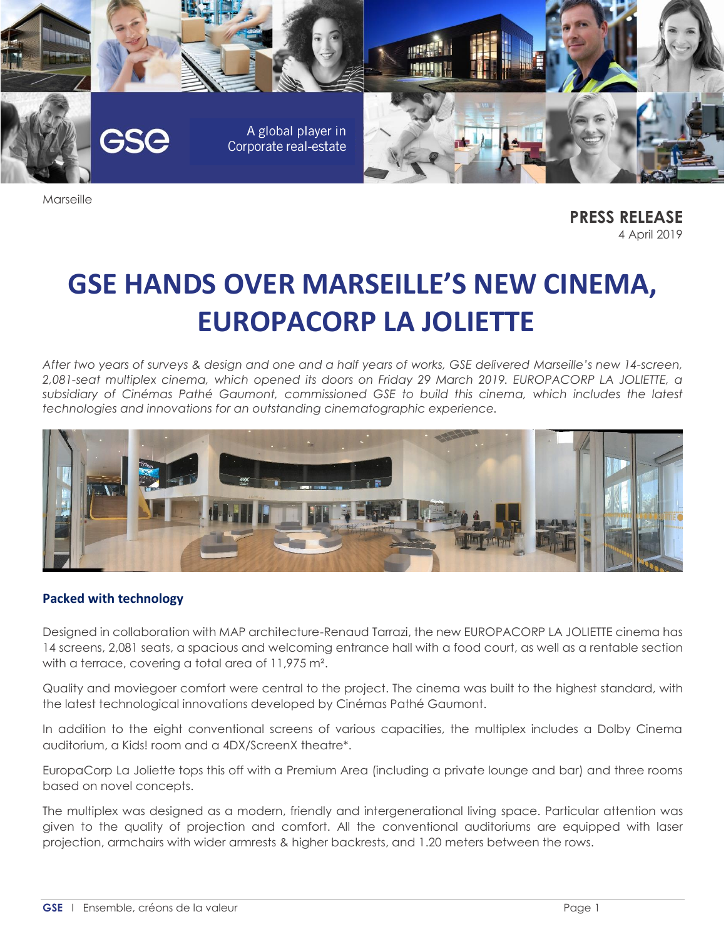

Marseille

**PRESS RELEASE** 4 April 2019

# **GSE HANDS OVER MARSEILLE'S NEW CINEMA, EUROPACORP LA JOLIETTE**

*After two years of surveys & design and one and a half years of works, GSE delivered Marseille's new 14-screen, 2,081-seat multiplex cinema, which opened its doors on Friday 29 March 2019. EUROPACORP LA JOLIETTE, a subsidiary of Cinémas Pathé Gaumont, commissioned GSE to build this cinema, which includes the latest technologies and innovations for an outstanding cinematographic experience.*



## **Packed with technology**

Designed in collaboration with MAP architecture-Renaud Tarrazi, the new EUROPACORP LA JOLIETTE cinema has 14 screens, 2,081 seats, a spacious and welcoming entrance hall with a food court, as well as a rentable section with a terrace, covering a total area of 11,975 m<sup>2</sup>.

Quality and moviegoer comfort were central to the project. The cinema was built to the highest standard, with the latest technological innovations developed by Cinémas Pathé Gaumont.

In addition to the eight conventional screens of various capacities, the multiplex includes a Dolby Cinema auditorium, a Kids! room and a 4DX/ScreenX theatre\*.

EuropaCorp La Joliette tops this off with a Premium Area (including a private lounge and bar) and three rooms based on novel concepts.

The multiplex was designed as a modern, friendly and intergenerational living space. Particular attention was given to the quality of projection and comfort. All the conventional auditoriums are equipped with laser projection, armchairs with wider armrests & higher backrests, and 1.20 meters between the rows.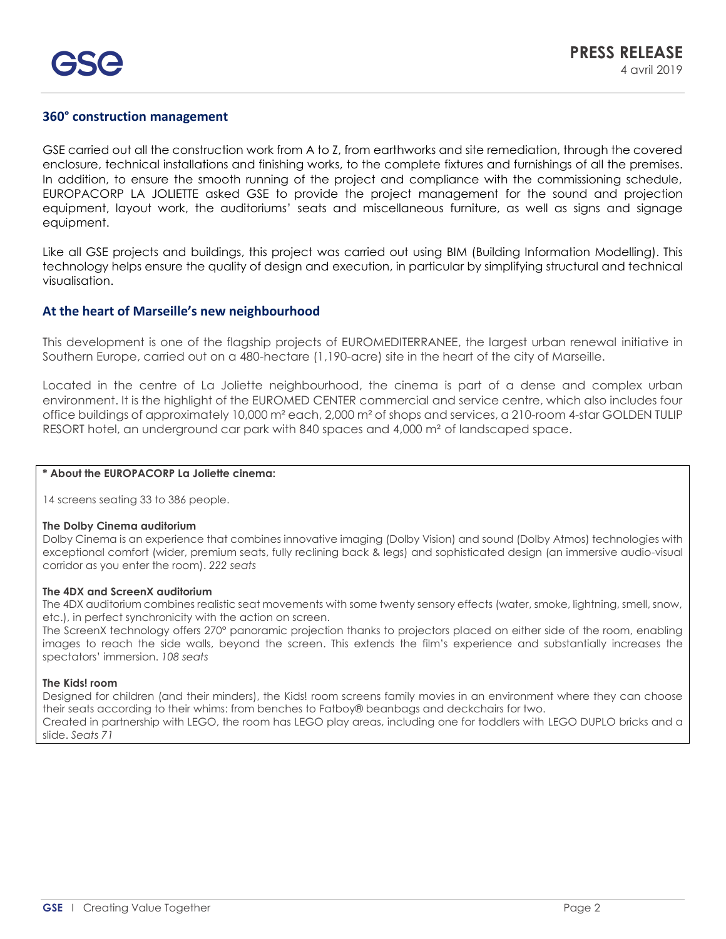## **360° construction management**

GSE carried out all the construction work from A to Z, from earthworks and site remediation, through the covered enclosure, technical installations and finishing works, to the complete fixtures and furnishings of all the premises. In addition, to ensure the smooth running of the project and compliance with the commissioning schedule, EUROPACORP LA JOLIETTE asked GSE to provide the project management for the sound and projection equipment, layout work, the auditoriums' seats and miscellaneous furniture, as well as signs and signage equipment.

Like all GSE projects and buildings, this project was carried out using BIM (Building Information Modelling). This technology helps ensure the quality of design and execution, in particular by simplifying structural and technical visualisation.

### **At the heart of Marseille's new neighbourhood**

This development is one of the flagship projects of EUROMEDITERRANEE, the largest urban renewal initiative in Southern Europe, carried out on a 480-hectare (1,190-acre) site in the heart of the city of Marseille.

Located in the centre of La Joliette neighbourhood, the cinema is part of a dense and complex urban environment. It is the highlight of the EUROMED CENTER commercial and service centre, which also includes four office buildings of approximately 10,000 m² each, 2,000 m² of shops and services, a 210-room 4-star GOLDEN TULIP RESORT hotel, an underground car park with 840 spaces and 4,000 m² of landscaped space.

#### **\* About the EUROPACORP La Joliette cinema:**

14 screens seating 33 to 386 people.

#### **The Dolby Cinema auditorium**

Dolby Cinema is an experience that combines innovative imaging (Dolby Vision) and sound (Dolby Atmos) technologies with exceptional comfort (wider, premium seats, fully reclining back & legs) and sophisticated design (an immersive audio-visual corridor as you enter the room). *222 seats*

#### **The 4DX and ScreenX auditorium**

The 4DX auditorium combines realistic seat movements with some twenty sensory effects (water, smoke, lightning, smell, snow, etc.), in perfect synchronicity with the action on screen.

The ScreenX technology offers 270° panoramic projection thanks to projectors placed on either side of the room, enabling images to reach the side walls, beyond the screen. This extends the film's experience and substantially increases the spectators' immersion. *108 seats*

#### **The Kids! room**

Designed for children (and their minders), the Kids! room screens family movies in an environment where they can choose their seats according to their whims: from benches to Fatboy® beanbags and deckchairs for two.

Created in partnership with LEGO, the room has LEGO play areas, including one for toddlers with LEGO DUPLO bricks and a slide. *Seats 71*